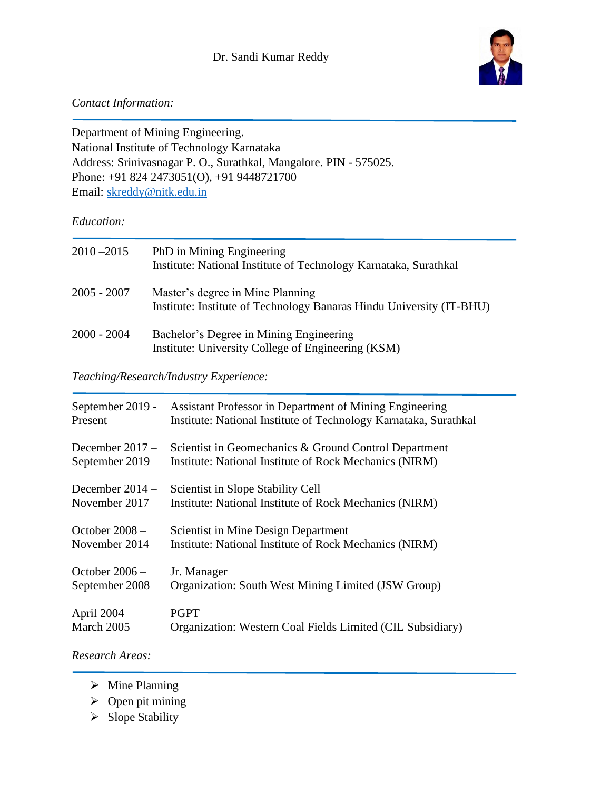

## *Contact Information:*

Department of Mining Engineering. National Institute of Technology Karnataka Address: Srinivasnagar P. O., Surathkal, Mangalore. PIN - 575025. Phone: +91 824 2473051(O), +91 9448721700 Email: [skreddy@nitk.edu.in](mailto:skreddy@nitk.edu.in)

### *Education:*

| $2010 - 2015$ | PhD in Mining Engineering<br>Institute: National Institute of Technology Karnataka, Surathkal            |
|---------------|----------------------------------------------------------------------------------------------------------|
| 2005 - 2007   | Master's degree in Mine Planning<br>Institute: Institute of Technology Banaras Hindu University (IT-BHU) |
| 2000 - 2004   | Bachelor's Degree in Mining Engineering<br>Institute: University College of Engineering (KSM)            |

# *Teaching/Research/Industry Experience:*

| September 2019 -  | Assistant Professor in Department of Mining Engineering          |
|-------------------|------------------------------------------------------------------|
| Present           | Institute: National Institute of Technology Karnataka, Surathkal |
| December $2017 -$ | Scientist in Geomechanics & Ground Control Department            |
| September 2019    | Institute: National Institute of Rock Mechanics (NIRM)           |
| December $2014 -$ | Scientist in Slope Stability Cell                                |
| November 2017     | Institute: National Institute of Rock Mechanics (NIRM)           |
| October $2008 -$  | Scientist in Mine Design Department                              |
| November 2014     | Institute: National Institute of Rock Mechanics (NIRM)           |
| October $2006 -$  | Jr. Manager                                                      |
| September 2008    | Organization: South West Mining Limited (JSW Group)              |
| April 2004 –      | <b>PGPT</b>                                                      |
| March 2005        | Organization: Western Coal Fields Limited (CIL Subsidiary)       |

*Research Areas:*

- ➢ Mine Planning
- $\triangleright$  Open pit mining
- ➢ Slope Stability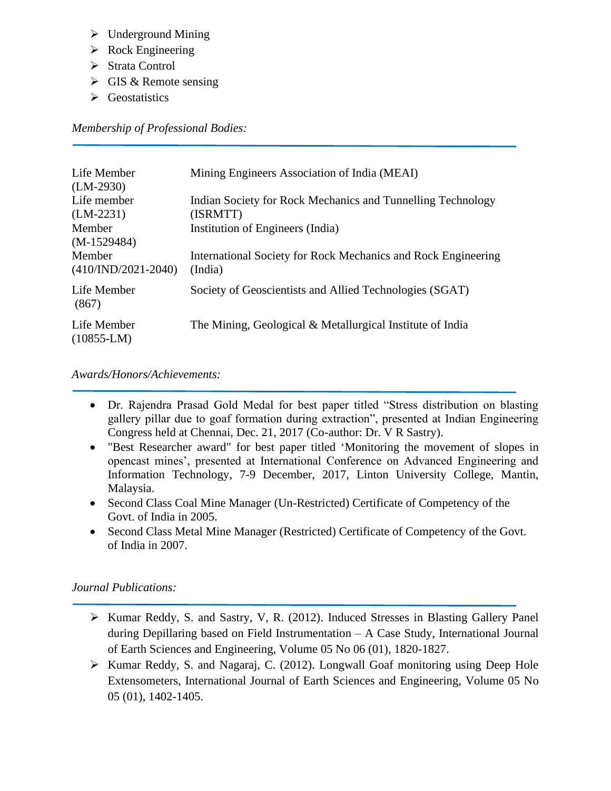- ➢ Underground Mining
- ➢ Rock Engineering
- ➢ Strata Control
- $\triangleright$  GIS & Remote sensing
- ➢ Geostatistics

*Membership of Professional Bodies:*

| Life Member<br>$(LM-2930)$      | Mining Engineers Association of India (MEAI)                             |
|---------------------------------|--------------------------------------------------------------------------|
| Life member<br>$(LM-2231)$      | Indian Society for Rock Mechanics and Tunnelling Technology<br>(ISRMTT)  |
| Member<br>$(M-1529484)$         | Institution of Engineers (India)                                         |
| Member<br>$(410/IND/2021-2040)$ | International Society for Rock Mechanics and Rock Engineering<br>(India) |
| Life Member<br>(867)            | Society of Geoscientists and Allied Technologies (SGAT)                  |
| Life Member<br>$(10855-LM)$     | The Mining, Geological & Metallurgical Institute of India                |

*Awards/Honors/Achievements:*

- Dr. Rajendra Prasad Gold Medal for best paper titled "Stress distribution on blasting gallery pillar due to goaf formation during extraction", presented at Indian Engineering Congress held at Chennai, Dec. 21, 2017 (Co-author: Dr. V R Sastry).
- "Best Researcher award" for best paper titled 'Monitoring the movement of slopes in opencast mines', presented at International Conference on Advanced Engineering and Information Technology, 7-9 December, 2017, Linton University College, Mantin, Malaysia.
- Second Class Coal Mine Manager (Un-Restricted) Certificate of Competency of the Govt. of India in 2005.
- Second Class Metal Mine Manager (Restricted) Certificate of Competency of the Govt. of India in 2007.

## *Journal Publications:*

- ➢ Kumar Reddy, S. and Sastry, V, R. (2012). Induced Stresses in Blasting Gallery Panel during Depillaring based on Field Instrumentation – A Case Study, International Journal of Earth Sciences and Engineering, Volume 05 No 06 (01), 1820-1827.
- ➢ Kumar Reddy, S. and Nagaraj, C. (2012). Longwall Goaf monitoring using Deep Hole Extensometers, International Journal of Earth Sciences and Engineering, Volume 05 No 05 (01), 1402-1405.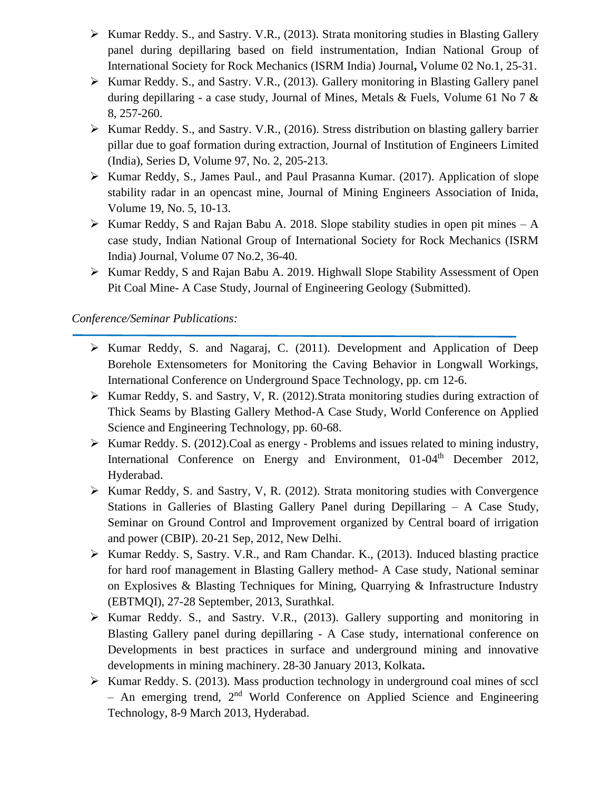- ➢ Kumar Reddy. S., and Sastry. V.R., (2013). Strata monitoring studies in Blasting Gallery panel during depillaring based on field instrumentation, Indian National Group of International Society for Rock Mechanics (ISRM India) Journal**,** Volume 02 No.1, 25-31.
- ➢ Kumar Reddy. S., and Sastry. V.R., (2013). Gallery monitoring in Blasting Gallery panel during depillaring - a case study, Journal of Mines, Metals & Fuels, Volume 61 No 7 & 8, 257-260.
- ➢ Kumar Reddy. S., and Sastry. V.R., (2016). Stress distribution on blasting gallery barrier pillar due to goaf formation during extraction, Journal of Institution of Engineers Limited (India), Series D, Volume 97, No. 2, 205-213.
- ➢ Kumar Reddy, S., James Paul., and Paul Prasanna Kumar. (2017). Application of slope stability radar in an opencast mine, Journal of Mining Engineers Association of Inida, Volume 19, No. 5, 10-13.
- $\triangleright$  Kumar Reddy, S and Rajan Babu A. 2018. Slope stability studies in open pit mines A case study, Indian National Group of International Society for Rock Mechanics (ISRM India) Journal, Volume 07 No.2, 36-40.
- ➢ Kumar Reddy, S and Rajan Babu A. 2019. Highwall Slope Stability Assessment of Open Pit Coal Mine- A Case Study, Journal of Engineering Geology (Submitted).

#### *Conference/Seminar Publications:*

- ➢ Kumar Reddy, S. and Nagaraj, C. (2011). Development and Application of Deep Borehole Extensometers for Monitoring the Caving Behavior in Longwall Workings, International Conference on Underground Space Technology, pp. cm 12-6.
- ➢ Kumar Reddy, S. and Sastry, V, R. (2012).Strata monitoring studies during extraction of Thick Seams by Blasting Gallery Method-A Case Study, World Conference on Applied Science and Engineering Technology, pp. 60-68.
- ➢ Kumar Reddy. S. (2012).Coal as energy Problems and issues related to mining industry, International Conference on Energy and Environment, 01-04<sup>th</sup> December 2012, Hyderabad.
- ➢ Kumar Reddy, S. and Sastry, V, R. (2012). Strata monitoring studies with Convergence Stations in Galleries of Blasting Gallery Panel during Depillaring – A Case Study, Seminar on Ground Control and Improvement organized by Central board of irrigation and power (CBIP). 20-21 Sep, 2012, New Delhi.
- ➢ Kumar Reddy. S, Sastry. V.R., and Ram Chandar. K., (2013). Induced blasting practice for hard roof management in Blasting Gallery method- A Case study, National seminar on Explosives & Blasting Techniques for Mining, Quarrying & Infrastructure Industry (EBTMQI), 27-28 September, 2013, Surathkal.
- ➢ Kumar Reddy. S., and Sastry. V.R., (2013). Gallery supporting and monitoring in Blasting Gallery panel during depillaring - A Case study, international conference on Developments in best practices in surface and underground mining and innovative developments in mining machinery. 28-30 January 2013, Kolkata**.**
- ➢ Kumar Reddy. S. (2013). Mass production technology in underground coal mines of sccl  $-$  An emerging trend,  $2<sup>nd</sup>$  World Conference on Applied Science and Engineering Technology, 8-9 March 2013, Hyderabad.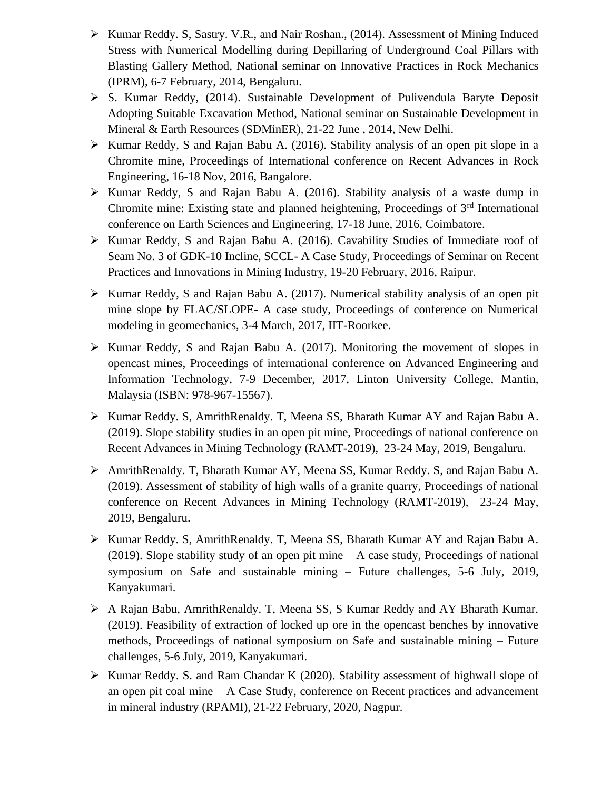- ➢ Kumar Reddy. S, Sastry. V.R., and Nair Roshan., (2014). Assessment of Mining Induced Stress with Numerical Modelling during Depillaring of Underground Coal Pillars with Blasting Gallery Method, National seminar on Innovative Practices in Rock Mechanics (IPRM), 6-7 February, 2014, Bengaluru.
- ➢ S. Kumar Reddy, (2014). Sustainable Development of Pulivendula Baryte Deposit Adopting Suitable Excavation Method, National seminar on Sustainable Development in Mineral & Earth Resources (SDMinER), 21-22 June , 2014, New Delhi.
- ➢ Kumar Reddy, S and Rajan Babu A. (2016). Stability analysis of an open pit slope in a Chromite mine, Proceedings of International conference on Recent Advances in Rock Engineering, 16-18 Nov, 2016, Bangalore.
- ➢ Kumar Reddy, S and Rajan Babu A. (2016). Stability analysis of a waste dump in Chromite mine: Existing state and planned heightening, Proceedings of  $3<sup>rd</sup>$  International conference on Earth Sciences and Engineering, 17-18 June, 2016, Coimbatore.
- ➢ Kumar Reddy, S and Rajan Babu A. (2016). Cavability Studies of Immediate roof of Seam No. 3 of GDK-10 Incline, SCCL- A Case Study, Proceedings of Seminar on Recent Practices and Innovations in Mining Industry, 19-20 February, 2016, Raipur.
- ➢ Kumar Reddy, S and Rajan Babu A. (2017). Numerical stability analysis of an open pit mine slope by FLAC/SLOPE- A case study, Proceedings of conference on Numerical modeling in geomechanics, 3-4 March, 2017, IIT-Roorkee.
- ➢ Kumar Reddy, S and Rajan Babu A. (2017). Monitoring the movement of slopes in opencast mines, Proceedings of international conference on Advanced Engineering and Information Technology, 7-9 December, 2017, Linton University College, Mantin, Malaysia (ISBN: 978-967-15567).
- ➢ Kumar Reddy. S, AmrithRenaldy. T, Meena SS, Bharath Kumar AY and Rajan Babu A. (2019). Slope stability studies in an open pit mine, Proceedings of national conference on Recent Advances in Mining Technology (RAMT-2019), 23-24 May, 2019, Bengaluru.
- ➢ AmrithRenaldy. T, Bharath Kumar AY, Meena SS, Kumar Reddy. S, and Rajan Babu A. (2019). Assessment of stability of high walls of a granite quarry, Proceedings of national conference on Recent Advances in Mining Technology (RAMT-2019), 23-24 May, 2019, Bengaluru.
- ➢ Kumar Reddy. S, AmrithRenaldy. T, Meena SS, Bharath Kumar AY and Rajan Babu A. (2019). Slope stability study of an open pit mine – A case study, Proceedings of national symposium on Safe and sustainable mining – Future challenges, 5-6 July, 2019, Kanyakumari.
- ➢ A Rajan Babu, AmrithRenaldy. T, Meena SS, S Kumar Reddy and AY Bharath Kumar. (2019). Feasibility of extraction of locked up ore in the opencast benches by innovative methods, Proceedings of national symposium on Safe and sustainable mining – Future challenges, 5-6 July, 2019, Kanyakumari.
- ➢ Kumar Reddy. S. and Ram Chandar K (2020). Stability assessment of highwall slope of an open pit coal mine – A Case Study, conference on Recent practices and advancement in mineral industry (RPAMI), 21-22 February, 2020, Nagpur.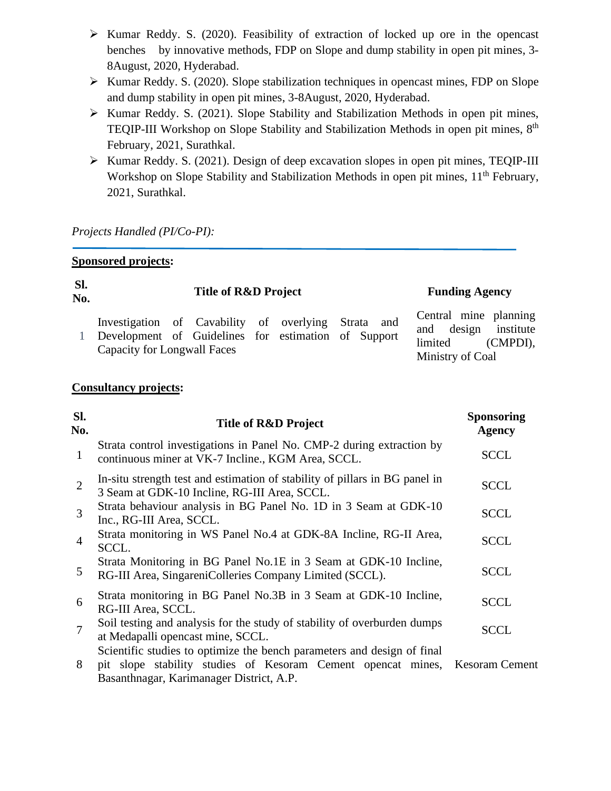- ➢ Kumar Reddy. S. (2020). Feasibility of extraction of locked up ore in the opencast benches by innovative methods, FDP on Slope and dump stability in open pit mines, 3- 8August, 2020, Hyderabad.
- ➢ Kumar Reddy. S. (2020). Slope stabilization techniques in opencast mines, FDP on Slope and dump stability in open pit mines, 3-8August, 2020, Hyderabad.
- ➢ Kumar Reddy. S. (2021). Slope Stability and Stabilization Methods in open pit mines, TEQIP-III Workshop on Slope Stability and Stabilization Methods in open pit mines, 8<sup>th</sup> February, 2021, Surathkal.
- ➢ Kumar Reddy. S. (2021). Design of deep excavation slopes in open pit mines, TEQIP-III Workshop on Slope Stability and Stabilization Methods in open pit mines, 11<sup>th</sup> February, 2021, Surathkal.

*Projects Handled (PI/Co-PI):*

|                | <b>Sponsored projects:</b>                                                                                                                             |                                              |                                                |
|----------------|--------------------------------------------------------------------------------------------------------------------------------------------------------|----------------------------------------------|------------------------------------------------|
| SI.<br>No.     | Title of R&D Project                                                                                                                                   |                                              | <b>Funding Agency</b>                          |
| $\mathbf{1}$   | Investigation of Cavability of overlying<br>Strata<br>and<br>Development of Guidelines for estimation of Support<br><b>Capacity for Longwall Faces</b> | design<br>and<br>limited<br>Ministry of Coal | Central mine planning<br>institute<br>(CMPDI), |
|                | <b>Consultancy projects:</b>                                                                                                                           |                                              |                                                |
| SI.<br>No.     | Title of R&D Project                                                                                                                                   |                                              | <b>Sponsoring</b><br><b>Agency</b>             |
| $\mathbf{1}$   | Strata control investigations in Panel No. CMP-2 during extraction by<br>continuous miner at VK-7 Incline., KGM Area, SCCL.                            |                                              | <b>SCCL</b>                                    |
| $\overline{2}$ | In-situ strength test and estimation of stability of pillars in BG panel in<br>3 Seam at GDK-10 Incline, RG-III Area, SCCL.                            |                                              | <b>SCCL</b>                                    |
| 3              | Strata behaviour analysis in BG Panel No. 1D in 3 Seam at GDK-10<br>Inc., RG-III Area, SCCL.                                                           |                                              | <b>SCCL</b>                                    |
| 4              | Strata monitoring in WS Panel No.4 at GDK-8A Incline, RG-II Area,<br>SCCL.                                                                             |                                              | <b>SCCL</b>                                    |
| 5              | Strata Monitoring in BG Panel No.1E in 3 Seam at GDK-10 Incline,<br>RG-III Area, SingareniColleries Company Limited (SCCL).                            |                                              | SCCL                                           |
| 6              | Strata monitoring in BG Panel No.3B in 3 Seam at GDK-10 Incline,<br>RG-III Area, SCCL.                                                                 |                                              | SCCL                                           |

7 Soil testing and analysis for the study of stability of overburden dumps at Medapalli opencast mine, SCCL. **SCCL** Scientific studies to optimize the bench parameters and design of final

8 pit slope stability studies of Kesoram Cement opencat mines, Basanthnagar, Karimanager District, A.P. Kesoram Cement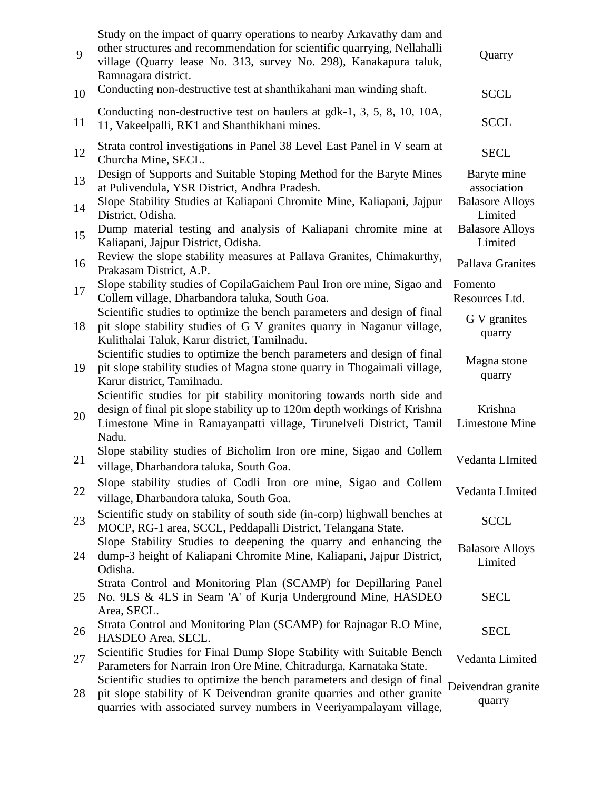| 9        | Study on the impact of quarry operations to nearby Arkavathy dam and<br>other structures and recommendation for scientific quarrying, Nellahalli<br>village (Quarry lease No. 313, survey No. 298), Kanakapura taluk,<br>Ramnagara district. | Quarry                                               |
|----------|----------------------------------------------------------------------------------------------------------------------------------------------------------------------------------------------------------------------------------------------|------------------------------------------------------|
| 10       | Conducting non-destructive test at shanthikahani man winding shaft.                                                                                                                                                                          | <b>SCCL</b>                                          |
| 11       | Conducting non-destructive test on haulers at gdk-1, 3, 5, 8, 10, 10A,<br>11, Vakeelpalli, RK1 and Shanthikhani mines.                                                                                                                       | <b>SCCL</b>                                          |
| 12       | Strata control investigations in Panel 38 Level East Panel in V seam at<br>Churcha Mine, SECL.                                                                                                                                               | <b>SECL</b>                                          |
| 13       | Design of Supports and Suitable Stoping Method for the Baryte Mines<br>at Pulivendula, YSR District, Andhra Pradesh.<br>Slope Stability Studies at Kaliapani Chromite Mine, Kaliapani, Jajpur                                                | Baryte mine<br>association<br><b>Balasore Alloys</b> |
| 14<br>15 | District, Odisha.<br>Dump material testing and analysis of Kaliapani chromite mine at<br>Kaliapani, Jajpur District, Odisha.                                                                                                                 | Limited<br><b>Balasore Alloys</b><br>Limited         |
| 16       | Review the slope stability measures at Pallava Granites, Chimakurthy,<br>Prakasam District, A.P.                                                                                                                                             | Pallava Granites                                     |
| 17       | Slope stability studies of CopilaGaichem Paul Iron ore mine, Sigao and<br>Collem village, Dharbandora taluka, South Goa.                                                                                                                     | Fomento<br>Resources Ltd.                            |
| 18       | Scientific studies to optimize the bench parameters and design of final<br>pit slope stability studies of G V granites quarry in Naganur village,<br>Kulithalai Taluk, Karur district, Tamilnadu.                                            | G V granites<br>quarry                               |
| 19       | Scientific studies to optimize the bench parameters and design of final<br>pit slope stability studies of Magna stone quarry in Thogaimali village,<br>Karur district, Tamilnadu.                                                            | Magna stone<br>quarry                                |
| 20       | Scientific studies for pit stability monitoring towards north side and<br>design of final pit slope stability up to 120m depth workings of Krishna<br>Limestone Mine in Ramayanpatti village, Tirunelveli District, Tamil<br>Nadu.           | Krishna<br><b>Limestone Mine</b>                     |
| 21       | Slope stability studies of Bicholim Iron ore mine, Sigao and Collem<br>village, Dharbandora taluka, South Goa.                                                                                                                               | Vedanta LImited                                      |
| 22       | Slope stability studies of Codli Iron ore mine, Sigao and Collem<br>village, Dharbandora taluka, South Goa.                                                                                                                                  | Vedanta LImited                                      |
| 23       | Scientific study on stability of south side (in-corp) highwall benches at<br>MOCP, RG-1 area, SCCL, Peddapalli District, Telangana State.                                                                                                    | <b>SCCL</b>                                          |
| 24       | Slope Stability Studies to deepening the quarry and enhancing the<br>dump-3 height of Kaliapani Chromite Mine, Kaliapani, Jajpur District,<br>Odisha.                                                                                        | <b>Balasore Alloys</b><br>Limited                    |
| 25       | Strata Control and Monitoring Plan (SCAMP) for Depillaring Panel<br>No. 9LS & 4LS in Seam 'A' of Kurja Underground Mine, HASDEO<br>Area, SECL.                                                                                               | <b>SECL</b>                                          |
| 26       | Strata Control and Monitoring Plan (SCAMP) for Rajnagar R.O Mine,<br>HASDEO Area, SECL.                                                                                                                                                      | <b>SECL</b>                                          |
| 27       | Scientific Studies for Final Dump Slope Stability with Suitable Bench<br>Parameters for Narrain Iron Ore Mine, Chitradurga, Karnataka State.                                                                                                 | Vedanta Limited                                      |
| 28       | Scientific studies to optimize the bench parameters and design of final<br>pit slope stability of K Deivendran granite quarries and other granite<br>quarries with associated survey numbers in Veeriyampalayam village,                     | Deivendran granite<br>quarry                         |